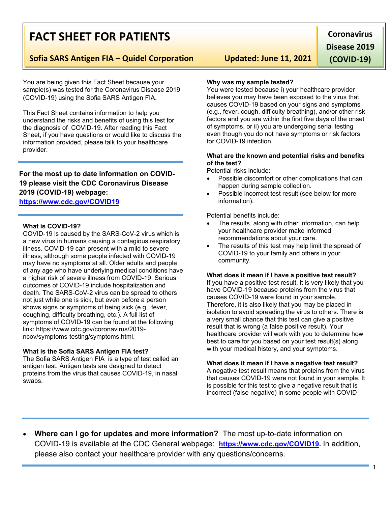# **FACT SHEET FOR PATIENTS**

### **Sofia SARS Antigen FIA – Quidel Corporation Updated: June 11, 2021**

You are being given this Fact Sheet because your sample(s) was tested for the Coronavirus Disease 2019 (COVID-19) using the Sofia SARS Antigen FIA.

This Fact Sheet contains information to help you understand the risks and benefits of using this test for the diagnosis of COVID-19. After reading this Fact Sheet, if you have questions or would like to discuss the information provided, please talk to your healthcare provider.

### **For the most up to date information on COVID-19 please visit the CDC Coronavirus Disease 2019 (COVID-19) webpage: <https://www.cdc.gov/COVID19>**

### **What is COVID-19?**

COVID-19 is caused by the SARS-CoV-2 virus which is a new virus in humans causing a contagious respiratory illness. COVID-19 can present with a mild to severe illness, although some people infected with COVID-19 may have no symptoms at all. Older adults and people of any age who have underlying medical conditions have a higher risk of severe illness from COVID-19. Serious outcomes of COVID-19 include hospitalization and death. The SARS-CoV-2 virus can be spread to others not just while one is sick, but even before a person shows signs or symptoms of being sick (e.g., fever, coughing, difficulty breathing, etc.). A full list of symptoms of COVID-19 can be found at the following link: https://www.cdc.gov/coronavirus/2019 ncov/symptoms-testing/symptoms.html.

### **What is the Sofia SARS Antigen FIA test?**

The Sofia SARS Antigen FIA is a type of test called an antigen test. Antigen tests are designed to detect proteins from the virus that causes COVID-19, in nasal swabs.

#### **Why was my sample tested?**

You were tested because i) your healthcare provider believes you may have been exposed to the virus that causes COVID-19 based on your signs and symptoms (e.g., fever, cough, difficulty breathing), and/or other risk factors and you are within the first five days of the onset of symptoms, or ii) you are undergoing serial testing even though you do not have symptoms or risk factors for COVID-19 infection.

### **What are the known and potential risks and benefits of the test?**

Potential risks include:

- Possible discomfort or other complications that can happen during sample collection.
- Possible incorrect test result (see below for more information).

Potential benefits include:

- The results, along with other information, can help your healthcare provider make informed recommendations about your care.
- The results of this test may help limit the spread of COVID-19 to your family and others in your community.

#### **What does it mean if I have a positive test result?**

If you have a positive test result, it is very likely that you have COVID-19 because proteins from the virus that causes COVID-19 were found in your sample. Therefore, it is also likely that you may be placed in isolation to avoid spreading the virus to others. There is a very small chance that this test can give a positive result that is wrong (a false positive result). Your healthcare provider will work with you to determine how best to care for you based on your test result(s) along with your medical history, and your symptoms.

### **What does it mean if I have a negative test result?**

A negative test result means that proteins from the virus that causes COVID-19 were not found in your sample. It is possible for this test to give a negative result that is incorrect (false negative) in some people with COVID-

1

• **Where can I go for updates and more information?** The most up-to-date information on COVID-19 is available at the CDC General webpage: **[https://www.cdc.gov/COVID19.](https://www.cdc.gov/nCoV)** In addition, please also contact your healthcare provider with any questions/concerns.

**Coronavirus Disease 2019** 

**(COVID-19)**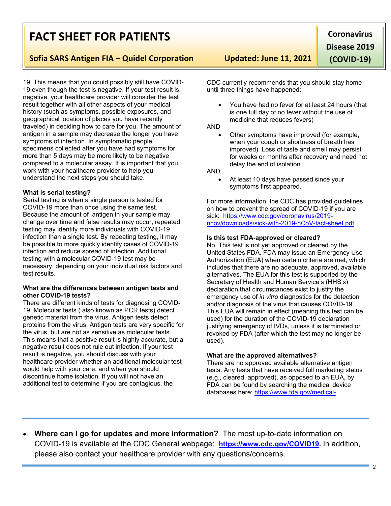## **FACT SHEET FOR PATIENTS**

**Sofia SARS Antigen FIA – Quidel Corporation Updated: June 11, 2021**

19. This means that you could possibly still have COVID-19 even though the test is negative. If your test result is negative, your healthcare provider will consider the test result together with all other aspects of your medical history (such as symptoms, possible exposures, and geographical location of places you have recently traveled) in deciding how to care for you. The amount of antigen in a sample may decrease the longer you have symptoms of infection. In symptomatic people, specimens collected after you have had symptoms for more than 5 days may be more likely to be negative compared to a molecular assay. It is important that you work with your healthcare provider to help you understand the next steps you should take.

### **What is serial testing?**

Serial testing is when a single person is tested for COVID-19 more than once using the same test. Because the amount of antigen in your sample may change over time and false results may occur, repeated testing may identify more individuals with COVID-19 infection than a single test. By repeating testing, it may be possible to more quickly identify cases of COVID-19 infection and reduce spread of infection. Additional testing with a molecular COVID-19 test may be necessary, depending on your individual risk factors and test results.

### **What are the differences between antigen tests and other COVID-19 tests?**

There are different kinds of tests for diagnosing COVID-19. Molecular tests ( also known as PCR tests) detect genetic material from the virus. Antigen tests detect proteins from the virus. Antigen tests are very specific for the virus, but are not as sensitive as molecular tests. This means that a positive result is highly accurate, but a negative result does not rule out infection. If your test result is negative, you should discuss with your healthcare provider whether an additional molecular test would help with your care, and when you should discontinue home isolation. If you will not have an additional test to determine if you are contagious, the

CDC currently recommends that you should stay home until three things have happened:

• You have had no fever for at least 24 hours (that is one full day of no fever without the use of medicine that reduces fevers)

### AND

• Other symptoms have improved (for example, when your cough or shortness of breath has improved). Loss of taste and smell may persist for weeks or months after recovery and need not delay the end of isolation.

### AND

• At least 10 days have passed since your symptoms first appeared.

For more information, the CDC has provided guidelines on how to prevent the spread of COVID-19 if you are sick: [https://www.cdc.gov/coronavirus/2019](https://www.cdc.gov/coronavirus/2019-ncov/downloads/sick-with-2019-nCoV-fact-sheet.pdf) [ncov/downloads/sick-with-2019-nCoV-fact-sheet.pdf](https://www.cdc.gov/coronavirus/2019-ncov/downloads/sick-with-2019-nCoV-fact-sheet.pdf)

### **Is this test FDA-approved or cleared?**

No. This test is not yet approved or cleared by the United States FDA. FDA may issue an Emergency Use Authorization (EUA) when certain criteria are met, which includes that there are no adequate, approved, available alternatives. The EUA for this test is supported by the Secretary of Health and Human Service's (HHS's) declaration that circumstances exist to justify the emergency use of *in vitro* diagnostics for the detection and/or diagnosis of the virus that causes COVID-19. This EUA will remain in effect (meaning this test can be used) for the duration of the COVID-19 declaration justifying emergency of IVDs, unless it is terminated or revoked by FDA (after which the test may no longer be used).

### **What are the approved alternatives?**

There are no approved available alternative antigen tests. Any tests that have received full marketing status (e.g., cleared, approved), as opposed to an EUA, by FDA can be found by searching the medical device databases here: [https://www.fda.gov/medical-](https://www.fda.gov/medical-devices/device-advice-comprehensive-regulatory-assistance/medical-device-databases)

• **Where can I go for updates and more information?** The most up-to-date information on COVID-19 is available at the CDC General webpage: **[https://www.cdc.gov/COVID19.](https://www.cdc.gov/nCoV)** In addition, please also contact your healthcare provider with any questions/concerns.

**Coronavirus Disease 2019 (COVID-19)**